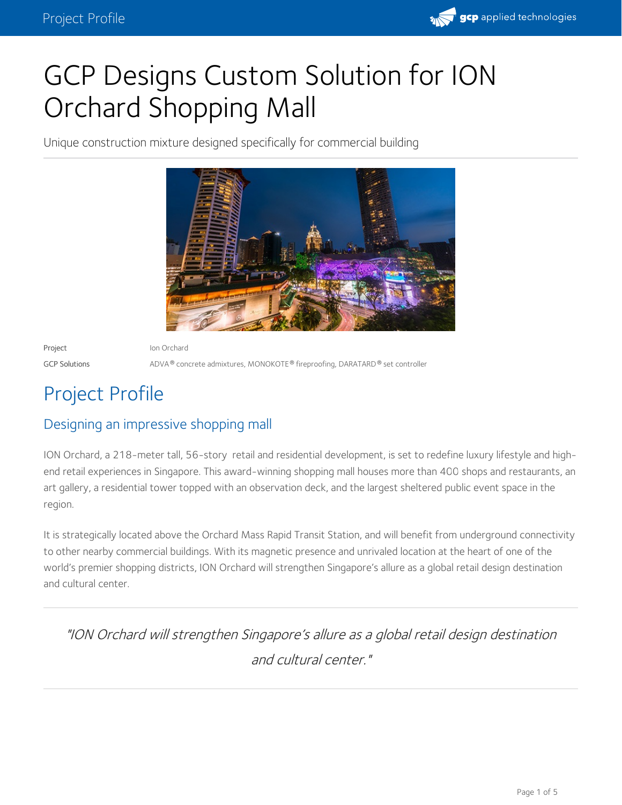

# GCP Designs Custom Solution for ION Orchard Shopping Mall

Unique construction mixture designed specifically for commercial building



Project **Ion Orchard** 

 $GCP$  Solutions  $\wedge$  ADVA  $^\circ$  concrete admixtures, MONOKOTE  $^\circ$  fireproofing, DARATARD  $^\circ$  set controller

## Project Profile

## Designing an impressive shopping mall

ION Orchard, a 218-meter tall, 56-story retail and residential development, is set to redefine luxury lifestyle and high end retail experiences in Singapore. This award-winning shopping mall houses more than 400 shops and restaurants, an art gallery, a residential tower topped with an observation deck, and the largest sheltered public event space in the region.

It is strategically located above the Orchard Mass Rapid Transit Station, and will benefit from underground connectivity to other nearby commercial buildings. With its magnetic presence and unrivaled location at the heart of one of the world's premier shopping districts, ION Orchard will strengthen Singapore's allure as a global retail design destination and cultural center.

"ION Orchard will strengthen Singapore's allure as <sup>a</sup> global retail design destination and cultural center."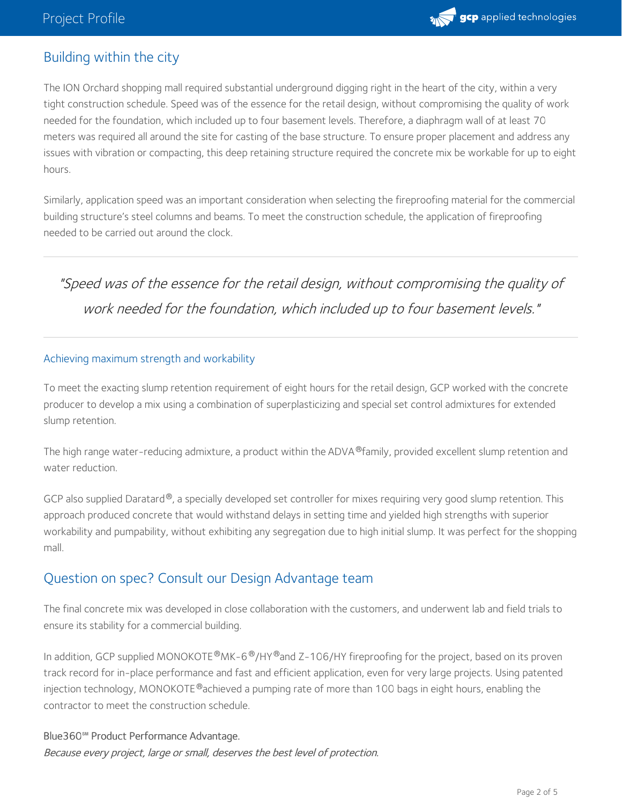

## Building within the city

The ION Orchard shopping mall required substantial underground digging right in the heart of the city, within a very tight construction schedule. Speed was of the essence for the retail design, without compromising the quality of work needed for the foundation, which included up to four basement levels. Therefore, a diaphragm wall of at least 70 meters was required all around the site for casting of the base structure. To ensure proper placement and address any issues with vibration or compacting, this deep retaining structure required the concrete mix be workable for up to eight hours.

Similarly, application speed was an important consideration when selecting the fireproofing material for the commercial building structure's steel columns and beams. To meet the construction schedule, the application of fireproofing needed to be carried out around the clock.

"Speed was of the essence for the retail design, without compromising the quality of work needed for the foundation, which included up to four basement levels."

#### Achieving maximum strength and workability

To meet the exacting slump retention requirement of eight hours for the retail design, GCP worked with the concrete producer to develop a mix using a combination of superplasticizing and special set control admixtures for extended slump retention.

The high range water-reducing admixture, a product within the [ADVA](https://gcpat.com/en/solutions/products/adva-high-range-water-reducers)®family, provided excellent slump retention and water reduction.

GCP also supplied Daratard®, a specially developed set controller for mixes requiring very good slump retention. This approach produced concrete that would withstand delays in setting time and yielded high strengths with superior workability and pumpability, without exhibiting any segregation due to high initial slump. It was perfect for the shopping mall.

#### Question on spec? Consult our Design [Advantage](https://gcpat.com/en/advantages/architect-advantage-building-your-legacy?utm_campaign=GCP0170&utm_source=projectProfile&utm_medium=organic&utm_content=bodyCopy) team

The final concrete mix was developed in close collaboration with the customers, and underwent lab and field trials to ensure its stability for a commercial building.

In addition, GCP supplied [MONOKOTE](https://gcpat.com/en/solutions/products/monokote-fireproofing)®MK-6®/HY®and Z-106/HY fireproofing for the project, based on its proven track record for in-place performance and fast and efficient application, even for very large projects. Using patented injection technology, [MONOKOTE](https://gcpat.com/en/solutions/products/monokote-fireproofing)®achieved a pumping rate of more than 100 bags in eight hours, enabling the contractor to meet the construction schedule.

Blue360**℠** Product Performance Advantage. Because every project, large or small, deserves the best level of protection.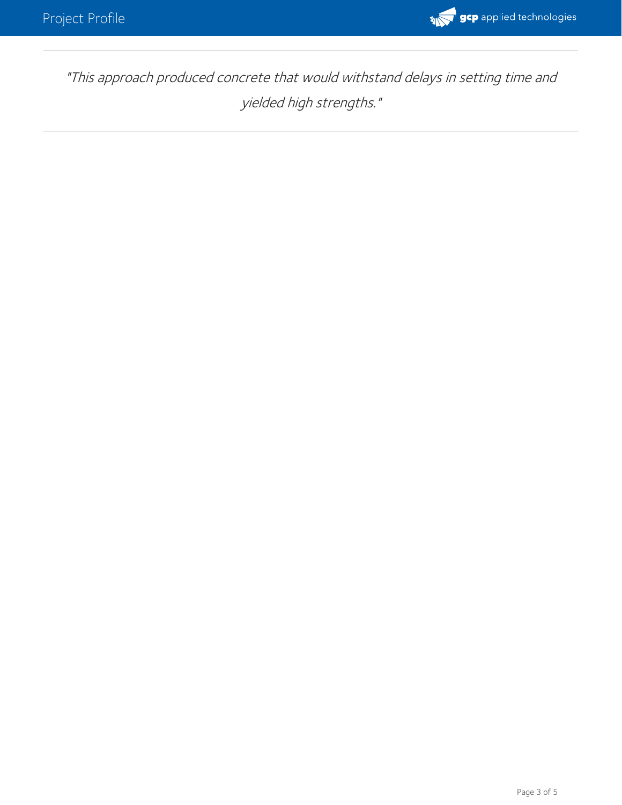

"This approach produced concrete that would withstand delays in setting time and yielded high strengths."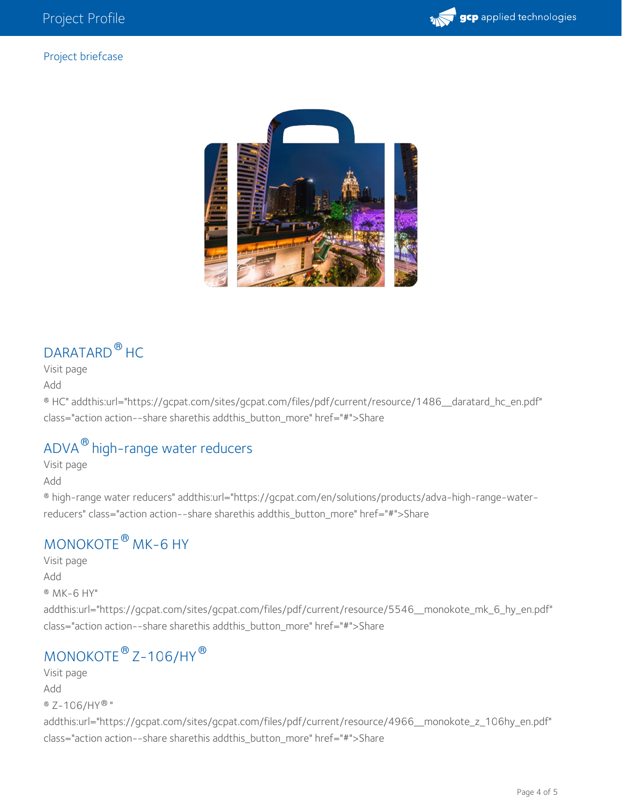

#### Project briefcase



## [DARATARD](https://gcpat.com/en/solutions/products/daratard-hc)<sup>®</sup> HC

Visit [page](https://gcpat.com/en/solutions/products/daratard-hc)

[Add](https://gcpat.com/en/ajax/briefcase/addentityfolder/1486)

® HC" addthis:url="https://gcpat.com/sites/gcpat.com/files/pdf/current/resource/1486\_\_daratard\_hc\_en.pdf" class="action action--share sharethis addthis\_button\_more" href="#">Share

## ADVA $^\circledR$  [high-range](https://gcpat.com/en/solutions/products/adva-high-range-water-reducers) water reducers

Visit [page](https://gcpat.com/en/solutions/products/adva-high-range-water-reducers) [Add](https://gcpat.com/en/ajax/briefcase/addentityfolder/5141)

® high-range water reducers" addthis:url="https://gcpat.com/en/solutions/products/adva-high-range-waterreducers" class="action action--share sharethis addthis\_button\_more" href="#">Share

## $\mathsf{MONOKOTE}^{\circledast}$  $\mathsf{MONOKOTE}^{\circledast}$  $\mathsf{MONOKOTE}^{\circledast}$  MK–6 HY

Visit [page](https://gcpat.com/en/solutions/products/monokote-fireproofing/monokote-mk-6-hy) [Add](https://gcpat.com/en/ajax/briefcase/addentityfolder/5546) ® MK-6 HY" addthis:url="https://gcpat.com/sites/gcpat.com/files/pdf/current/resource/5546\_\_monokote\_mk\_6\_hy\_en.pdf" class="action action--share sharethis addthis\_button\_more" href="#">Share

## [MONOKOTE](https://gcpat.com/en/solutions/products/monokote-fireproofing/monokote-z-106hy)<sup>®</sup> Z-106/HY<sup>®</sup>

Visit [page](https://gcpat.com/en/solutions/products/monokote-fireproofing/monokote-z-106hy) [Add](https://gcpat.com/en/ajax/briefcase/addentityfolder/4966) ® Z-106/HY®" addthis:url="https://gcpat.com/sites/gcpat.com/files/pdf/current/resource/4966\_\_monokote\_z\_106hy\_en.pdf" class="action action--share sharethis addthis\_button\_more" href="#">Share